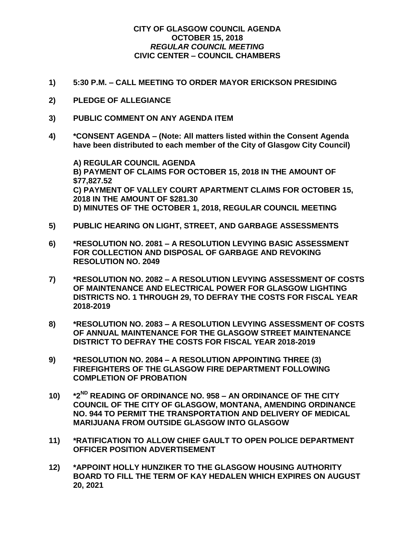## **CITY OF GLASGOW COUNCIL AGENDA OCTOBER 15, 2018** *REGULAR COUNCIL MEETING* **CIVIC CENTER – COUNCIL CHAMBERS**

- **1) 5:30 P.M. – CALL MEETING TO ORDER MAYOR ERICKSON PRESIDING**
- **2) PLEDGE OF ALLEGIANCE**
- **3) PUBLIC COMMENT ON ANY AGENDA ITEM**
- **4) \*CONSENT AGENDA – (Note: All matters listed within the Consent Agenda have been distributed to each member of the City of Glasgow City Council)**

**A) REGULAR COUNCIL AGENDA B) PAYMENT OF CLAIMS FOR OCTOBER 15, 2018 IN THE AMOUNT OF \$77,827.52 C) PAYMENT OF VALLEY COURT APARTMENT CLAIMS FOR OCTOBER 15, 2018 IN THE AMOUNT OF \$281.30 D) MINUTES OF THE OCTOBER 1, 2018, REGULAR COUNCIL MEETING**

- **5) PUBLIC HEARING ON LIGHT, STREET, AND GARBAGE ASSESSMENTS**
- **6) \*RESOLUTION NO. 2081 – A RESOLUTION LEVYING BASIC ASSESSMENT FOR COLLECTION AND DISPOSAL OF GARBAGE AND REVOKING RESOLUTION NO. 2049**
- **7) \*RESOLUTION NO. 2082 – A RESOLUTION LEVYING ASSESSMENT OF COSTS OF MAINTENANCE AND ELECTRICAL POWER FOR GLASGOW LIGHTING DISTRICTS NO. 1 THROUGH 29, TO DEFRAY THE COSTS FOR FISCAL YEAR 2018-2019**
- **8) \*RESOLUTION NO. 2083 – A RESOLUTION LEVYING ASSESSMENT OF COSTS OF ANNUAL MAINTENANCE FOR THE GLASGOW STREET MAINTENANCE DISTRICT TO DEFRAY THE COSTS FOR FISCAL YEAR 2018-2019**
- **9) \*RESOLUTION NO. 2084 – A RESOLUTION APPOINTING THREE (3) FIREFIGHTERS OF THE GLASGOW FIRE DEPARTMENT FOLLOWING COMPLETION OF PROBATION**
- **10) \*2ND READING OF ORDINANCE NO. 958 – AN ORDINANCE OF THE CITY COUNCIL OF THE CITY OF GLASGOW, MONTANA, AMENDING ORDINANCE NO. 944 TO PERMIT THE TRANSPORTATION AND DELIVERY OF MEDICAL MARIJUANA FROM OUTSIDE GLASGOW INTO GLASGOW**
- **11) \*RATIFICATION TO ALLOW CHIEF GAULT TO OPEN POLICE DEPARTMENT OFFICER POSITION ADVERTISEMENT**
- **12) \*APPOINT HOLLY HUNZIKER TO THE GLASGOW HOUSING AUTHORITY BOARD TO FILL THE TERM OF KAY HEDALEN WHICH EXPIRES ON AUGUST 20, 2021**